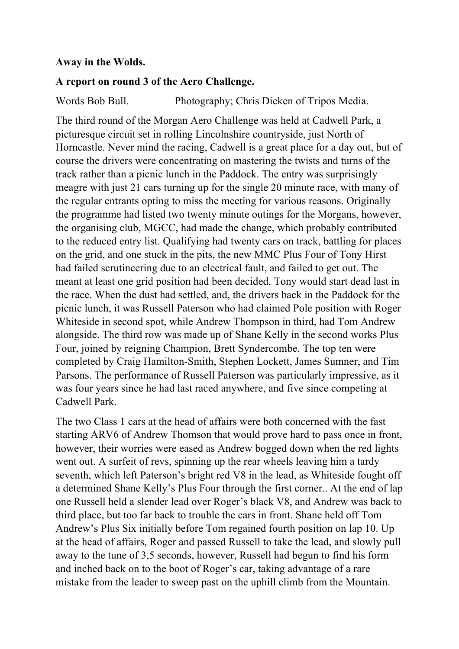## **Away in the Wolds.**

## **A report on round 3 of the Aero Challenge.**

Words Bob Bull. Photography; Chris Dicken of Tripos Media.

The third round of the Morgan Aero Challenge was held at Cadwell Park, a picturesque circuit set in rolling Lincolnshire countryside, just North of Horncastle. Never mind the racing, Cadwell is a great place for a day out, but of course the drivers were concentrating on mastering the twists and turns of the track rather than a picnic lunch in the Paddock. The entry was surprisingly meagre with just 21 cars turning up for the single 20 minute race, with many of the regular entrants opting to miss the meeting for various reasons. Originally the programme had listed two twenty minute outings for the Morgans, however, the organising club, MGCC, had made the change, which probably contributed to the reduced entry list. Qualifying had twenty cars on track, battling for places on the grid, and one stuck in the pits, the new MMC Plus Four of Tony Hirst had failed scrutineering due to an electrical fault, and failed to get out. The meant at least one grid position had been decided. Tony would start dead last in the race. When the dust had settled, and, the drivers back in the Paddock for the picnic lunch, it was Russell Paterson who had claimed Pole position with Roger Whiteside in second spot, while Andrew Thompson in third, had Tom Andrew alongside. The third row was made up of Shane Kelly in the second works Plus Four, joined by reigning Champion, Brett Syndercombe. The top ten were completed by Craig Hamilton-Smith, Stephen Lockett, James Sumner, and Tim Parsons. The performance of Russell Paterson was particularly impressive, as it was four years since he had last raced anywhere, and five since competing at Cadwell Park.

The two Class 1 cars at the head of affairs were both concerned with the fast starting ARV6 of Andrew Thomson that would prove hard to pass once in front, however, their worries were eased as Andrew bogged down when the red lights went out. A surfeit of revs, spinning up the rear wheels leaving him a tardy seventh, which left Paterson's bright red V8 in the lead, as Whiteside fought off a determined Shane Kelly's Plus Four through the first corner.. At the end of lap one Russell held a slender lead over Roger's black V8, and Andrew was back to third place, but too far back to trouble the cars in front. Shane held off Tom Andrew's Plus Six initially before Tom regained fourth position on lap 10. Up at the head of affairs, Roger and passed Russell to take the lead, and slowly pull away to the tune of 3,5 seconds, however, Russell had begun to find his form and inched back on to the boot of Roger's car, taking advantage of a rare mistake from the leader to sweep past on the uphill climb from the Mountain.